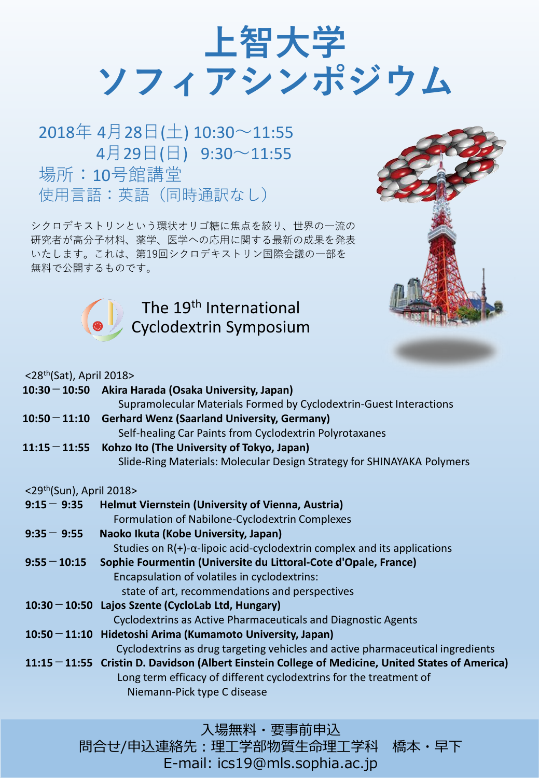**上智大学 ソフィアシンポジウム**

2018年 4月28日(土) 10:30~11:55 4月29日(日) 9:30~11:55 場所:10号館講堂 使用言語:英語(同時通訳なし)

シクロデキストリンという環状オリゴ糖に焦点を絞り、世界の一流の 研究者が高分子材料、薬学、医学への応用に関する最新の成果を発表 いたします。これは、第19回シクロデキストリン国際会議の一部を 無料で公開するものです。

> The 19<sup>th</sup> International Cyclodextrin Symposium



## $\langle 28th(Sat)$  April 2018 $\langle$

|               | $10:30 - 10:50$ | Akira Harada (Osaka University, Japan)                                                              |
|---------------|-----------------|-----------------------------------------------------------------------------------------------------|
|               |                 | Supramolecular Materials Formed by Cyclodextrin-Guest Interactions                                  |
|               | $10:50 - 11:10$ | <b>Gerhard Wenz (Saarland University, Germany)</b>                                                  |
|               |                 | Self-healing Car Paints from Cyclodextrin Polyrotaxanes                                             |
|               | $11:15 - 11:55$ | Kohzo Ito (The University of Tokyo, Japan)                                                          |
|               |                 | Slide-Ring Materials: Molecular Design Strategy for SHINAYAKA Polymers                              |
|               |                 | $<$ 29 <sup>th</sup> (Sun), April 2018>                                                             |
|               | $9:15 - 9:35$   | <b>Helmut Viernstein (University of Vienna, Austria)</b>                                            |
|               |                 | Formulation of Nabilone-Cyclodextrin Complexes                                                      |
| $9:35 - 9:55$ |                 | Naoko Ikuta (Kobe University, Japan)                                                                |
|               |                 | Studies on $R(+)$ - $\alpha$ -lipoic acid-cyclodextrin complex and its applications                 |
|               | $9:55 - 10:15$  | Sophie Fourmentin (Universite du Littoral-Cote d'Opale, France)                                     |
|               |                 | Encapsulation of volatiles in cyclodextrins:                                                        |
|               |                 | state of art, recommendations and perspectives                                                      |
|               |                 | $10:30 - 10:50$ Lajos Szente (CycloLab Ltd, Hungary)                                                |
|               |                 | Cyclodextrins as Active Pharmaceuticals and Diagnostic Agents                                       |
|               |                 | $10:50 - 11:10$ Hidetoshi Arima (Kumamoto University, Japan)                                        |
|               |                 | Cyclodextrins as drug targeting vehicles and active pharmaceutical ingredients                      |
|               |                 | $11:15 - 11:55$ Cristin D. Davidson (Albert Einstein College of Medicine, United States of America) |
|               |                 | Long term efficacy of different cyclodextrins for the treatment of                                  |
|               |                 | Niemann-Pick type C disease                                                                         |
|               |                 |                                                                                                     |

入場無料・要事前申込

問合せ/申込連絡先:理工学部物質生命理工学科 橋本・早下 E-mail: ics19@mls.sophia.ac.jp